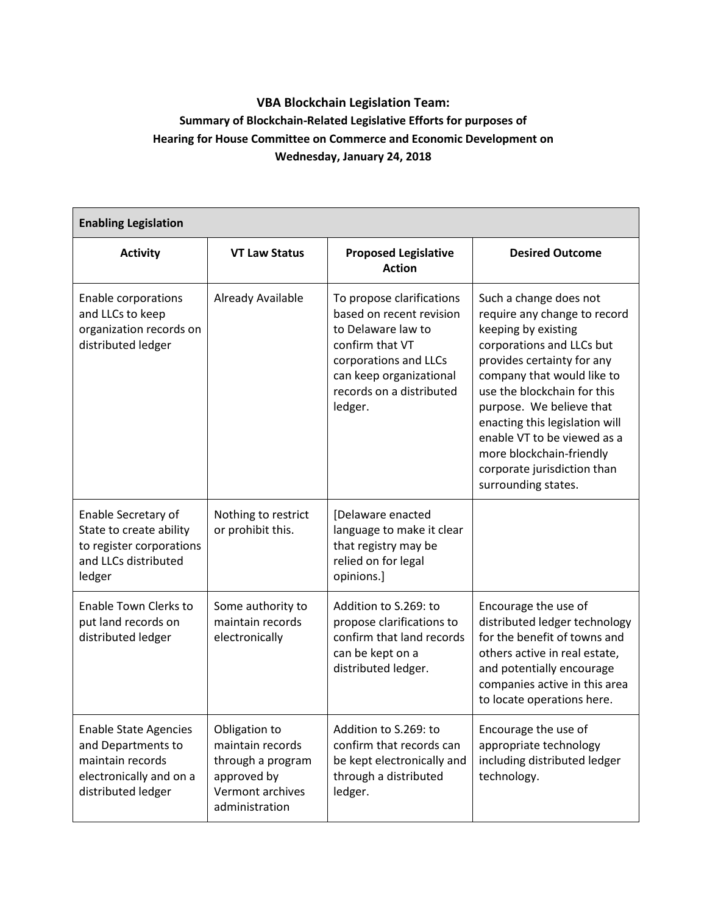## **VBA Blockchain Legislation Team: Summary of Blockchain-Related Legislative Efforts for purposes of Hearing for House Committee on Commerce and Economic Development on Wednesday, January 24, 2018**

| <b>Enabling Legislation</b>                                                                                             |                                                                                                             |                                                                                                                                                                                           |                                                                                                                                                                                                                                                                                                                                                                                      |  |  |  |
|-------------------------------------------------------------------------------------------------------------------------|-------------------------------------------------------------------------------------------------------------|-------------------------------------------------------------------------------------------------------------------------------------------------------------------------------------------|--------------------------------------------------------------------------------------------------------------------------------------------------------------------------------------------------------------------------------------------------------------------------------------------------------------------------------------------------------------------------------------|--|--|--|
| <b>Activity</b>                                                                                                         | <b>VT Law Status</b>                                                                                        | <b>Proposed Legislative</b><br><b>Action</b>                                                                                                                                              | <b>Desired Outcome</b>                                                                                                                                                                                                                                                                                                                                                               |  |  |  |
| Enable corporations<br>and LLCs to keep<br>organization records on<br>distributed ledger                                | Already Available                                                                                           | To propose clarifications<br>based on recent revision<br>to Delaware law to<br>confirm that VT<br>corporations and LLCs<br>can keep organizational<br>records on a distributed<br>ledger. | Such a change does not<br>require any change to record<br>keeping by existing<br>corporations and LLCs but<br>provides certainty for any<br>company that would like to<br>use the blockchain for this<br>purpose. We believe that<br>enacting this legislation will<br>enable VT to be viewed as a<br>more blockchain-friendly<br>corporate jurisdiction than<br>surrounding states. |  |  |  |
| Enable Secretary of<br>State to create ability<br>to register corporations<br>and LLCs distributed<br>ledger            | Nothing to restrict<br>or prohibit this.                                                                    | [Delaware enacted<br>language to make it clear<br>that registry may be<br>relied on for legal<br>opinions.]                                                                               |                                                                                                                                                                                                                                                                                                                                                                                      |  |  |  |
| Enable Town Clerks to<br>put land records on<br>distributed ledger                                                      | Some authority to<br>maintain records<br>electronically                                                     | Addition to S.269: to<br>propose clarifications to<br>confirm that land records<br>can be kept on a<br>distributed ledger.                                                                | Encourage the use of<br>distributed ledger technology<br>for the benefit of towns and<br>others active in real estate,<br>and potentially encourage<br>companies active in this area<br>to locate operations here.                                                                                                                                                                   |  |  |  |
| <b>Enable State Agencies</b><br>and Departments to<br>maintain records<br>electronically and on a<br>distributed ledger | Obligation to<br>maintain records<br>through a program<br>approved by<br>Vermont archives<br>administration | Addition to S.269: to<br>confirm that records can<br>be kept electronically and<br>through a distributed<br>ledger.                                                                       | Encourage the use of<br>appropriate technology<br>including distributed ledger<br>technology.                                                                                                                                                                                                                                                                                        |  |  |  |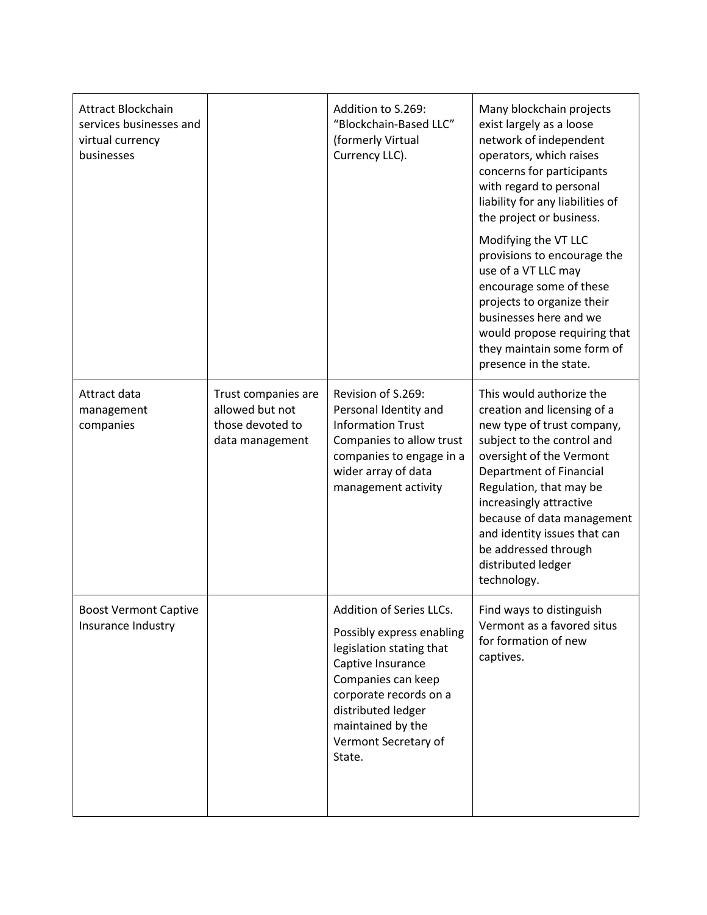| Attract Blockchain<br>services businesses and<br>virtual currency<br>businesses |                                                                               | Addition to S.269:<br>"Blockchain-Based LLC"<br>(formerly Virtual<br>Currency LLC).                                                                                                                                                 | Many blockchain projects<br>exist largely as a loose<br>network of independent<br>operators, which raises<br>concerns for participants<br>with regard to personal<br>liability for any liabilities of<br>the project or business.<br>Modifying the VT LLC<br>provisions to encourage the<br>use of a VT LLC may<br>encourage some of these<br>projects to organize their<br>businesses here and we<br>would propose requiring that<br>they maintain some form of<br>presence in the state. |
|---------------------------------------------------------------------------------|-------------------------------------------------------------------------------|-------------------------------------------------------------------------------------------------------------------------------------------------------------------------------------------------------------------------------------|--------------------------------------------------------------------------------------------------------------------------------------------------------------------------------------------------------------------------------------------------------------------------------------------------------------------------------------------------------------------------------------------------------------------------------------------------------------------------------------------|
| Attract data<br>management<br>companies                                         | Trust companies are<br>allowed but not<br>those devoted to<br>data management | Revision of S.269:<br>Personal Identity and<br><b>Information Trust</b><br>Companies to allow trust<br>companies to engage in a<br>wider array of data<br>management activity                                                       | This would authorize the<br>creation and licensing of a<br>new type of trust company,<br>subject to the control and<br>oversight of the Vermont<br>Department of Financial<br>Regulation, that may be<br>increasingly attractive<br>because of data management<br>and identity issues that can<br>be addressed through<br>distributed ledger<br>technology.                                                                                                                                |
| <b>Boost Vermont Captive</b><br>Insurance Industry                              |                                                                               | Addition of Series LLCs.<br>Possibly express enabling<br>legislation stating that<br>Captive Insurance<br>Companies can keep<br>corporate records on a<br>distributed ledger<br>maintained by the<br>Vermont Secretary of<br>State. | Find ways to distinguish<br>Vermont as a favored situs<br>for formation of new<br>captives.                                                                                                                                                                                                                                                                                                                                                                                                |